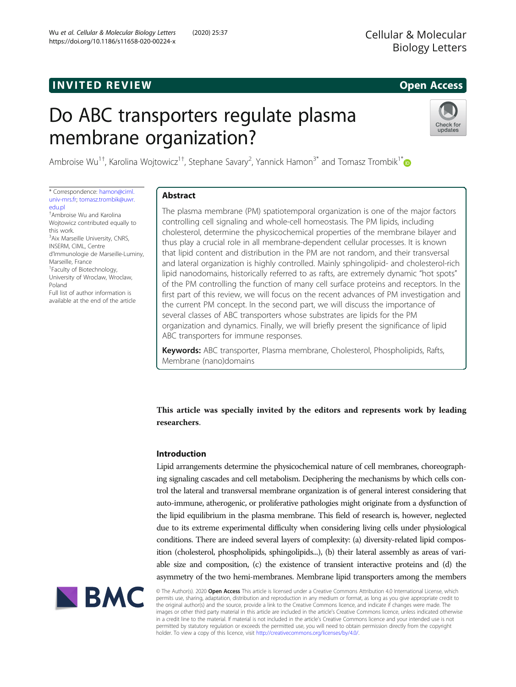# **INVITED REVIEW CONTROL**

# Do ABC transporters regulate plasma membrane organization?



Ambroise Wu<sup>1†</sup>, Karolina Wojtowicz<sup>1†</sup>, Stephane Savary<sup>2</sup>, Yannick Hamon<sup>3\*</sup> and Tomasz Trombik<sup>1\*</sup>

\* Correspondence: [hamon@ciml.](mailto:hamon@ciml.univ-mrs.fr) [univ-mrs.fr](mailto:hamon@ciml.univ-mrs.fr); [tomasz.trombik@uwr.](mailto:tomasz.trombik@uwr.edu.pl) [edu.pl](mailto:tomasz.trombik@uwr.edu.pl) † Ambroise Wu and Karolina Wojtowicz contributed equally to this work. <sup>3</sup> Aix Marseille University, CNRS, INSERM, CIML, Centre d'Immunologie de Marseille-Luminy, Marseille, France <sup>1</sup> Faculty of Biotechnology, University of Wroclaw, Wroclaw, Poland Full list of author information is available at the end of the article

# Abstract

The plasma membrane (PM) spatiotemporal organization is one of the major factors controlling cell signaling and whole-cell homeostasis. The PM lipids, including cholesterol, determine the physicochemical properties of the membrane bilayer and thus play a crucial role in all membrane-dependent cellular processes. It is known that lipid content and distribution in the PM are not random, and their transversal and lateral organization is highly controlled. Mainly sphingolipid- and cholesterol-rich lipid nanodomains, historically referred to as rafts, are extremely dynamic "hot spots" of the PM controlling the function of many cell surface proteins and receptors. In the first part of this review, we will focus on the recent advances of PM investigation and the current PM concept. In the second part, we will discuss the importance of several classes of ABC transporters whose substrates are lipids for the PM organization and dynamics. Finally, we will briefly present the significance of lipid ABC transporters for immune responses.

Keywords: ABC transporter, Plasma membrane, Cholesterol, Phospholipids, Rafts, Membrane (nano)domains

This article was specially invited by the editors and represents work by leading researchers.

## Introduction

Lipid arrangements determine the physicochemical nature of cell membranes, choreographing signaling cascades and cell metabolism. Deciphering the mechanisms by which cells control the lateral and transversal membrane organization is of general interest considering that auto-immune, atherogenic, or proliferative pathologies might originate from a dysfunction of the lipid equilibrium in the plasma membrane. This field of research is, however, neglected due to its extreme experimental difficulty when considering living cells under physiological conditions. There are indeed several layers of complexity: (a) diversity-related lipid composition (cholesterol, phospholipids, sphingolipids...), (b) their lateral assembly as areas of variable size and composition, (c) the existence of transient interactive proteins and (d) the asymmetry of the two hemi-membranes. Membrane lipid transporters among the members



© The Author(s). 2020 Open Access This article is licensed under a Creative Commons Attribution 4.0 International License, which permits use, sharing, adaptation, distribution and reproduction in any medium or format, as long as you give appropriate credit to the original author(s) and the source, provide a link to the Creative Commons licence, and indicate if changes were made. The images or other third party material in this article are included in the article's Creative Commons licence, unless indicated otherwise in a credit line to the material. If material is not included in the article's Creative Commons licence and your intended use is not permitted by statutory regulation or exceeds the permitted use, you will need to obtain permission directly from the copyright holder. To view a copy of this licence, visit [http://creativecommons.org/licenses/by/4.0/.](http://creativecommons.org/licenses/by/4.0/)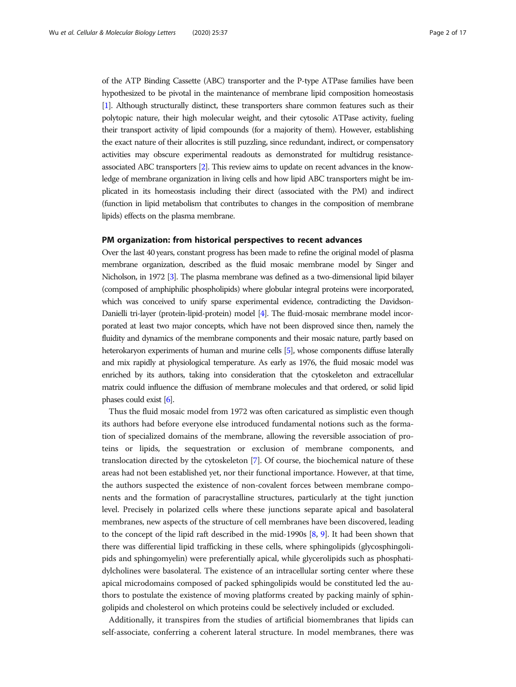of the ATP Binding Cassette (ABC) transporter and the P-type ATPase families have been hypothesized to be pivotal in the maintenance of membrane lipid composition homeostasis [[1](#page-12-0)]. Although structurally distinct, these transporters share common features such as their polytopic nature, their high molecular weight, and their cytosolic ATPase activity, fueling their transport activity of lipid compounds (for a majority of them). However, establishing the exact nature of their allocrites is still puzzling, since redundant, indirect, or compensatory activities may obscure experimental readouts as demonstrated for multidrug resistanceassociated ABC transporters [\[2\]](#page-12-0). This review aims to update on recent advances in the knowledge of membrane organization in living cells and how lipid ABC transporters might be implicated in its homeostasis including their direct (associated with the PM) and indirect (function in lipid metabolism that contributes to changes in the composition of membrane lipids) effects on the plasma membrane.

#### PM organization: from historical perspectives to recent advances

Over the last 40 years, constant progress has been made to refine the original model of plasma membrane organization, described as the fluid mosaic membrane model by Singer and Nicholson, in 1972 [\[3\]](#page-12-0). The plasma membrane was defined as a two-dimensional lipid bilayer (composed of amphiphilic phospholipids) where globular integral proteins were incorporated, which was conceived to unify sparse experimental evidence, contradicting the Davidson-Danielli tri-layer (protein-lipid-protein) model [[4](#page-12-0)]. The fluid-mosaic membrane model incorporated at least two major concepts, which have not been disproved since then, namely the fluidity and dynamics of the membrane components and their mosaic nature, partly based on heterokaryon experiments of human and murine cells [\[5](#page-12-0)], whose components diffuse laterally and mix rapidly at physiological temperature. As early as 1976, the fluid mosaic model was enriched by its authors, taking into consideration that the cytoskeleton and extracellular matrix could influence the diffusion of membrane molecules and that ordered, or solid lipid phases could exist [\[6](#page-12-0)].

Thus the fluid mosaic model from 1972 was often caricatured as simplistic even though its authors had before everyone else introduced fundamental notions such as the formation of specialized domains of the membrane, allowing the reversible association of proteins or lipids, the sequestration or exclusion of membrane components, and translocation directed by the cytoskeleton [\[7](#page-12-0)]. Of course, the biochemical nature of these areas had not been established yet, nor their functional importance. However, at that time, the authors suspected the existence of non-covalent forces between membrane components and the formation of paracrystalline structures, particularly at the tight junction level. Precisely in polarized cells where these junctions separate apical and basolateral membranes, new aspects of the structure of cell membranes have been discovered, leading to the concept of the lipid raft described in the mid-1990s [\[8,](#page-12-0) [9\]](#page-12-0). It had been shown that there was differential lipid trafficking in these cells, where sphingolipids (glycosphingolipids and sphingomyelin) were preferentially apical, while glycerolipids such as phosphatidylcholines were basolateral. The existence of an intracellular sorting center where these apical microdomains composed of packed sphingolipids would be constituted led the authors to postulate the existence of moving platforms created by packing mainly of sphingolipids and cholesterol on which proteins could be selectively included or excluded.

Additionally, it transpires from the studies of artificial biomembranes that lipids can self-associate, conferring a coherent lateral structure. In model membranes, there was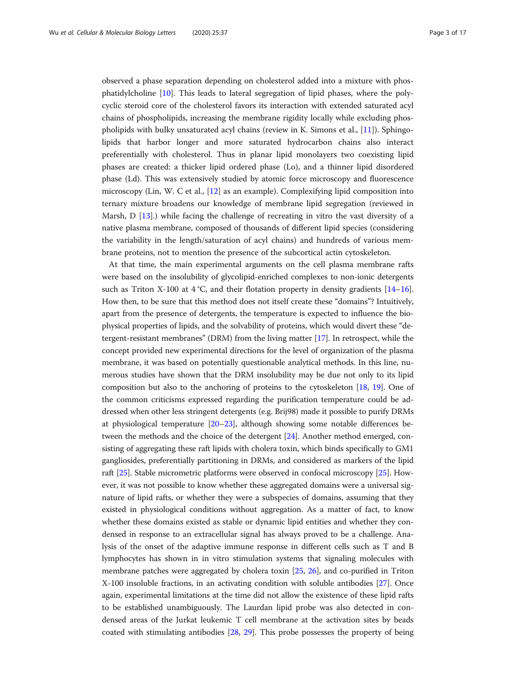observed a phase separation depending on cholesterol added into a mixture with phosphatidylcholine [\[10](#page-12-0)]. This leads to lateral segregation of lipid phases, where the polycyclic steroid core of the cholesterol favors its interaction with extended saturated acyl chains of phospholipids, increasing the membrane rigidity locally while excluding phospholipids with bulky unsaturated acyl chains (review in K. Simons et al., [\[11](#page-12-0)]). Sphingolipids that harbor longer and more saturated hydrocarbon chains also interact preferentially with cholesterol. Thus in planar lipid monolayers two coexisting lipid phases are created: a thicker lipid ordered phase (Lo), and a thinner lipid disordered phase (Ld). This was extensively studied by atomic force microscopy and fluorescence microscopy (Lin, W. C et al., [[12\]](#page-12-0) as an example). Complexifying lipid composition into ternary mixture broadens our knowledge of membrane lipid segregation (reviewed in Marsh, D [[13\]](#page-12-0).) while facing the challenge of recreating in vitro the vast diversity of a native plasma membrane, composed of thousands of different lipid species (considering the variability in the length/saturation of acyl chains) and hundreds of various membrane proteins, not to mention the presence of the subcortical actin cytoskeleton.

At that time, the main experimental arguments on the cell plasma membrane rafts were based on the insolubility of glycolipid-enriched complexes to non-ionic detergents such as Triton X-100 at  $4^{\circ}$ C, and their flotation property in density gradients [\[14](#page-12-0)–[16](#page-12-0)]. How then, to be sure that this method does not itself create these "domains"? Intuitively, apart from the presence of detergents, the temperature is expected to influence the biophysical properties of lipids, and the solvability of proteins, which would divert these "detergent-resistant membranes" (DRM) from the living matter [\[17\]](#page-12-0). In retrospect, while the concept provided new experimental directions for the level of organization of the plasma membrane, it was based on potentially questionable analytical methods. In this line, numerous studies have shown that the DRM insolubility may be due not only to its lipid composition but also to the anchoring of proteins to the cytoskeleton [\[18](#page-12-0), [19\]](#page-12-0). One of the common criticisms expressed regarding the purification temperature could be addressed when other less stringent detergents (e.g. Brij98) made it possible to purify DRMs at physiological temperature [\[20](#page-12-0)–[23\]](#page-12-0), although showing some notable differences between the methods and the choice of the detergent [\[24\]](#page-12-0). Another method emerged, consisting of aggregating these raft lipids with cholera toxin, which binds specifically to GM1 gangliosides, preferentially partitioning in DRMs, and considered as markers of the lipid raft [[25](#page-12-0)]. Stable micrometric platforms were observed in confocal microscopy [[25\]](#page-12-0). However, it was not possible to know whether these aggregated domains were a universal signature of lipid rafts, or whether they were a subspecies of domains, assuming that they existed in physiological conditions without aggregation. As a matter of fact, to know whether these domains existed as stable or dynamic lipid entities and whether they condensed in response to an extracellular signal has always proved to be a challenge. Analysis of the onset of the adaptive immune response in different cells such as T and B lymphocytes has shown in in vitro stimulation systems that signaling molecules with membrane patches were aggregated by cholera toxin [\[25](#page-12-0), [26](#page-12-0)], and co-purified in Triton X-100 insoluble fractions, in an activating condition with soluble antibodies [\[27](#page-12-0)]. Once again, experimental limitations at the time did not allow the existence of these lipid rafts to be established unambiguously. The Laurdan lipid probe was also detected in condensed areas of the Jurkat leukemic T cell membrane at the activation sites by beads coated with stimulating antibodies [[28,](#page-13-0) [29\]](#page-13-0). This probe possesses the property of being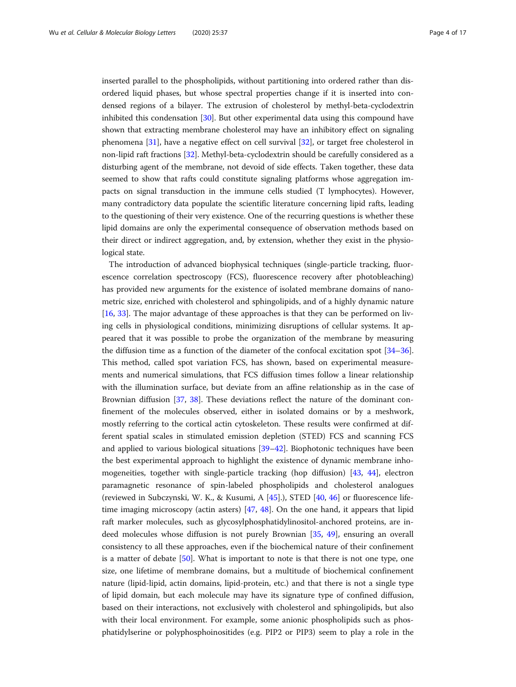inserted parallel to the phospholipids, without partitioning into ordered rather than disordered liquid phases, but whose spectral properties change if it is inserted into condensed regions of a bilayer. The extrusion of cholesterol by methyl-beta-cyclodextrin inhibited this condensation [\[30](#page-13-0)]. But other experimental data using this compound have shown that extracting membrane cholesterol may have an inhibitory effect on signaling phenomena [\[31](#page-13-0)], have a negative effect on cell survival [[32](#page-13-0)], or target free cholesterol in non-lipid raft fractions [[32\]](#page-13-0). Methyl-beta-cyclodextrin should be carefully considered as a disturbing agent of the membrane, not devoid of side effects. Taken together, these data seemed to show that rafts could constitute signaling platforms whose aggregation impacts on signal transduction in the immune cells studied (T lymphocytes). However, many contradictory data populate the scientific literature concerning lipid rafts, leading to the questioning of their very existence. One of the recurring questions is whether these lipid domains are only the experimental consequence of observation methods based on their direct or indirect aggregation, and, by extension, whether they exist in the physiological state.

The introduction of advanced biophysical techniques (single-particle tracking, fluorescence correlation spectroscopy (FCS), fluorescence recovery after photobleaching) has provided new arguments for the existence of isolated membrane domains of nanometric size, enriched with cholesterol and sphingolipids, and of a highly dynamic nature [[16,](#page-12-0) [33\]](#page-13-0). The major advantage of these approaches is that they can be performed on living cells in physiological conditions, minimizing disruptions of cellular systems. It appeared that it was possible to probe the organization of the membrane by measuring the diffusion time as a function of the diameter of the confocal excitation spot [[34](#page-13-0)–[36](#page-13-0)]. This method, called spot variation FCS, has shown, based on experimental measurements and numerical simulations, that FCS diffusion times follow a linear relationship with the illumination surface, but deviate from an affine relationship as in the case of Brownian diffusion [\[37](#page-13-0), [38\]](#page-13-0). These deviations reflect the nature of the dominant confinement of the molecules observed, either in isolated domains or by a meshwork, mostly referring to the cortical actin cytoskeleton. These results were confirmed at different spatial scales in stimulated emission depletion (STED) FCS and scanning FCS and applied to various biological situations [[39](#page-13-0)–[42](#page-13-0)]. Biophotonic techniques have been the best experimental approach to highlight the existence of dynamic membrane inhomogeneities, together with single-particle tracking (hop diffusion) [\[43](#page-13-0), [44](#page-13-0)], electron paramagnetic resonance of spin-labeled phospholipids and cholesterol analogues (reviewed in Subczynski, W. K., & Kusumi, A [[45\]](#page-13-0).), STED [[40,](#page-13-0) [46\]](#page-13-0) or fluorescence lifetime imaging microscopy (actin asters) [\[47,](#page-13-0) [48](#page-13-0)]. On the one hand, it appears that lipid raft marker molecules, such as glycosylphosphatidylinositol-anchored proteins, are indeed molecules whose diffusion is not purely Brownian [\[35,](#page-13-0) [49](#page-13-0)], ensuring an overall consistency to all these approaches, even if the biochemical nature of their confinement is a matter of debate [[50\]](#page-13-0). What is important to note is that there is not one type, one size, one lifetime of membrane domains, but a multitude of biochemical confinement nature (lipid-lipid, actin domains, lipid-protein, etc.) and that there is not a single type of lipid domain, but each molecule may have its signature type of confined diffusion, based on their interactions, not exclusively with cholesterol and sphingolipids, but also with their local environment. For example, some anionic phospholipids such as phosphatidylserine or polyphosphoinositides (e.g. PIP2 or PIP3) seem to play a role in the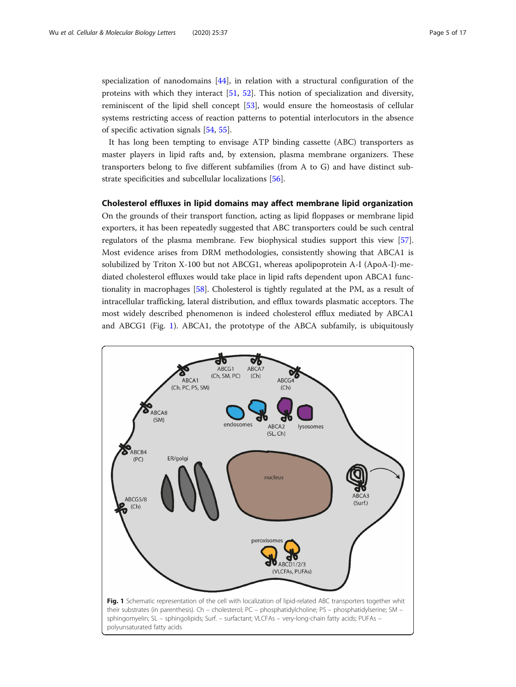<span id="page-4-0"></span>specialization of nanodomains [\[44](#page-13-0)], in relation with a structural configuration of the proteins with which they interact [\[51](#page-13-0), [52\]](#page-13-0). This notion of specialization and diversity, reminiscent of the lipid shell concept [\[53](#page-13-0)], would ensure the homeostasis of cellular systems restricting access of reaction patterns to potential interlocutors in the absence of specific activation signals [[54](#page-13-0), [55](#page-13-0)].

It has long been tempting to envisage ATP binding cassette (ABC) transporters as master players in lipid rafts and, by extension, plasma membrane organizers. These transporters belong to five different subfamilies (from A to G) and have distinct substrate specificities and subcellular localizations [\[56\]](#page-13-0).

#### Cholesterol effluxes in lipid domains may affect membrane lipid organization

On the grounds of their transport function, acting as lipid floppases or membrane lipid exporters, it has been repeatedly suggested that ABC transporters could be such central regulators of the plasma membrane. Few biophysical studies support this view [[57](#page-13-0)]. Most evidence arises from DRM methodologies, consistently showing that ABCA1 is solubilized by Triton X-100 but not ABCG1, whereas apolipoprotein A-I (ApoA-I)-mediated cholesterol effluxes would take place in lipid rafts dependent upon ABCA1 functionality in macrophages [\[58](#page-13-0)]. Cholesterol is tightly regulated at the PM, as a result of intracellular trafficking, lateral distribution, and efflux towards plasmatic acceptors. The most widely described phenomenon is indeed cholesterol efflux mediated by ABCA1 and ABCG1 (Fig. 1). ABCA1, the prototype of the ABCA subfamily, is ubiquitously

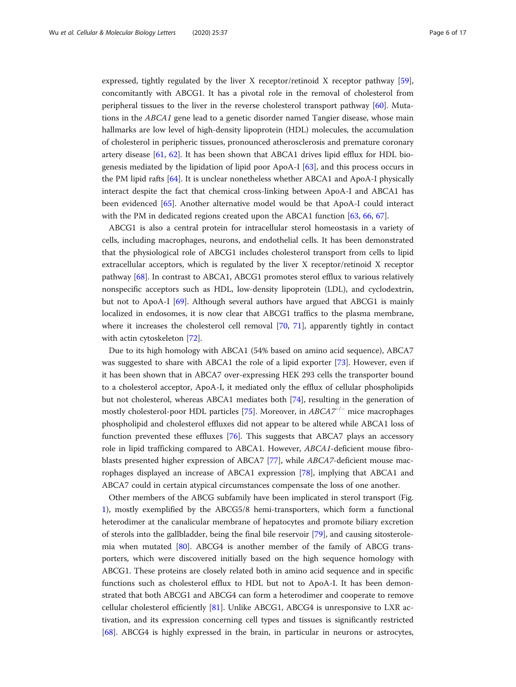expressed, tightly regulated by the liver X receptor/retinoid X receptor pathway [[59](#page-13-0)], concomitantly with ABCG1. It has a pivotal role in the removal of cholesterol from peripheral tissues to the liver in the reverse cholesterol transport pathway [\[60](#page-13-0)]. Mutations in the ABCA1 gene lead to a genetic disorder named Tangier disease, whose main hallmarks are low level of high-density lipoprotein (HDL) molecules, the accumulation of cholesterol in peripheric tissues, pronounced atherosclerosis and premature coronary artery disease [[61,](#page-13-0) [62](#page-13-0)]. It has been shown that ABCA1 drives lipid efflux for HDL biogenesis mediated by the lipidation of lipid poor ApoA-I [\[63](#page-14-0)], and this process occurs in the PM lipid rafts [[64\]](#page-14-0). It is unclear nonetheless whether ABCA1 and ApoA-I physically interact despite the fact that chemical cross-linking between ApoA-I and ABCA1 has been evidenced [[65](#page-14-0)]. Another alternative model would be that ApoA-I could interact with the PM in dedicated regions created upon the ABCA1 function [\[63](#page-14-0), [66,](#page-14-0) [67\]](#page-14-0).

ABCG1 is also a central protein for intracellular sterol homeostasis in a variety of cells, including macrophages, neurons, and endothelial cells. It has been demonstrated that the physiological role of ABCG1 includes cholesterol transport from cells to lipid extracellular acceptors, which is regulated by the liver X receptor/retinoid X receptor pathway [\[68](#page-14-0)]. In contrast to ABCA1, ABCG1 promotes sterol efflux to various relatively nonspecific acceptors such as HDL, low-density lipoprotein (LDL), and cyclodextrin, but not to ApoA-I [[69\]](#page-14-0). Although several authors have argued that ABCG1 is mainly localized in endosomes, it is now clear that ABCG1 traffics to the plasma membrane, where it increases the cholesterol cell removal [\[70](#page-14-0), [71](#page-14-0)], apparently tightly in contact with actin cytoskeleton [\[72](#page-14-0)].

Due to its high homology with ABCA1 (54% based on amino acid sequence), ABCA7 was suggested to share with ABCA1 the role of a lipid exporter [\[73](#page-14-0)]. However, even if it has been shown that in ABCA7 over-expressing HEK 293 cells the transporter bound to a cholesterol acceptor, ApoA-I, it mediated only the efflux of cellular phospholipids but not cholesterol, whereas ABCA1 mediates both [[74](#page-14-0)], resulting in the generation of mostly cholesterol-poor HDL particles [[75\]](#page-14-0). Moreover, in  $ABCA7^{-/-}$  mice macrophages phospholipid and cholesterol effluxes did not appear to be altered while ABCA1 loss of function prevented these effluxes [[76\]](#page-14-0). This suggests that ABCA7 plays an accessory role in lipid trafficking compared to ABCA1. However, ABCA1-deficient mouse fibroblasts presented higher expression of ABCA7 [\[77](#page-14-0)], while ABCA7-deficient mouse macrophages displayed an increase of ABCA1 expression [\[78](#page-14-0)], implying that ABCA1 and ABCA7 could in certain atypical circumstances compensate the loss of one another.

Other members of the ABCG subfamily have been implicated in sterol transport (Fig. [1\)](#page-4-0), mostly exemplified by the ABCG5/8 hemi-transporters, which form a functional heterodimer at the canalicular membrane of hepatocytes and promote biliary excretion of sterols into the gallbladder, being the final bile reservoir [\[79\]](#page-14-0), and causing sitosterolemia when mutated [\[80](#page-14-0)]. ABCG4 is another member of the family of ABCG transporters, which were discovered initially based on the high sequence homology with ABCG1. These proteins are closely related both in amino acid sequence and in specific functions such as cholesterol efflux to HDL but not to ApoA-I. It has been demonstrated that both ABCG1 and ABCG4 can form a heterodimer and cooperate to remove cellular cholesterol efficiently [[81](#page-14-0)]. Unlike ABCG1, ABCG4 is unresponsive to LXR activation, and its expression concerning cell types and tissues is significantly restricted [[68\]](#page-14-0). ABCG4 is highly expressed in the brain, in particular in neurons or astrocytes,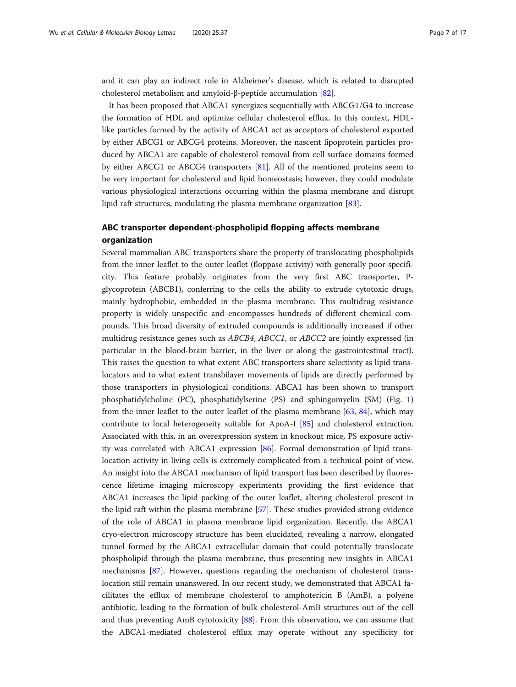and it can play an indirect role in Alzheimer's disease, which is related to disrupted cholesterol metabolism and amyloid-β-peptide accumulation [[82](#page-14-0)].

It has been proposed that ABCA1 synergizes sequentially with ABCG1/G4 to increase the formation of HDL and optimize cellular cholesterol efflux. In this context, HDLlike particles formed by the activity of ABCA1 act as acceptors of cholesterol exported by either ABCG1 or ABCG4 proteins. Moreover, the nascent lipoprotein particles produced by ABCA1 are capable of cholesterol removal from cell surface domains formed by either ABCG1 or ABCG4 transporters [\[81](#page-14-0)]. All of the mentioned proteins seem to be very important for cholesterol and lipid homeostasis; however, they could modulate various physiological interactions occurring within the plasma membrane and disrupt lipid raft structures, modulating the plasma membrane organization [[83\]](#page-14-0).

# ABC transporter dependent-phospholipid flopping affects membrane organization

Several mammalian ABC transporters share the property of translocating phospholipids from the inner leaflet to the outer leaflet (floppase activity) with generally poor specificity. This feature probably originates from the very first ABC transporter, Pglycoprotein (ABCB1), conferring to the cells the ability to extrude cytotoxic drugs, mainly hydrophobic, embedded in the plasma membrane. This multidrug resistance property is widely unspecific and encompasses hundreds of different chemical compounds. This broad diversity of extruded compounds is additionally increased if other multidrug resistance genes such as ABCB4, ABCC1, or ABCC2 are jointly expressed (in particular in the blood-brain barrier, in the liver or along the gastrointestinal tract). This raises the question to what extent ABC transporters share selectivity as lipid translocators and to what extent transbilayer movements of lipids are directly performed by those transporters in physiological conditions. ABCA1 has been shown to transport phosphatidylcholine (PC), phosphatidylserine (PS) and sphingomyelin (SM) (Fig. [1](#page-4-0)) from the inner leaflet to the outer leaflet of the plasma membrane [\[63](#page-14-0), [84](#page-14-0)], which may contribute to local heterogeneity suitable for ApoA-I [\[85\]](#page-14-0) and cholesterol extraction. Associated with this, in an overexpression system in knockout mice, PS exposure activity was correlated with ABCA1 expression [[86](#page-14-0)]. Formal demonstration of lipid translocation activity in living cells is extremely complicated from a technical point of view. An insight into the ABCA1 mechanism of lipid transport has been described by fluorescence lifetime imaging microscopy experiments providing the first evidence that ABCA1 increases the lipid packing of the outer leaflet, altering cholesterol present in the lipid raft within the plasma membrane [[57\]](#page-13-0). These studies provided strong evidence of the role of ABCA1 in plasma membrane lipid organization. Recently, the ABCA1 cryo-electron microscopy structure has been elucidated, revealing a narrow, elongated tunnel formed by the ABCA1 extracellular domain that could potentially translocate phospholipid through the plasma membrane, thus presenting new insights in ABCA1 mechanisms [[87](#page-14-0)]. However, questions regarding the mechanism of cholesterol translocation still remain unanswered. In our recent study, we demonstrated that ABCA1 facilitates the efflux of membrane cholesterol to amphotericin B (AmB), a polyene antibiotic, leading to the formation of bulk cholesterol-AmB structures out of the cell and thus preventing AmB cytotoxicity [[88](#page-14-0)]. From this observation, we can assume that the ABCA1-mediated cholesterol efflux may operate without any specificity for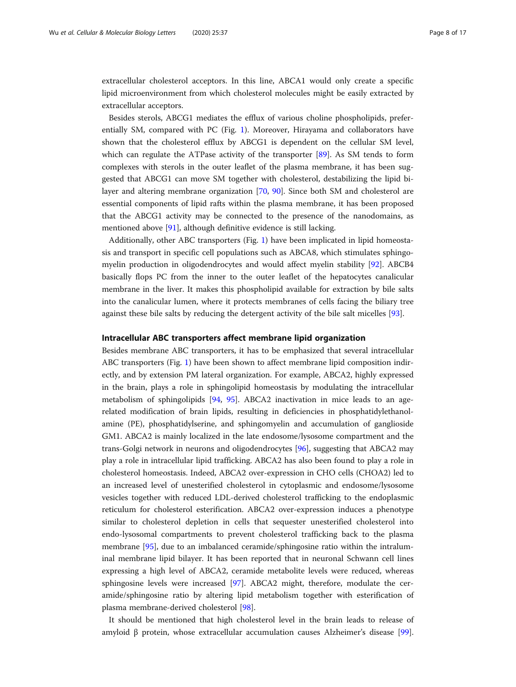extracellular cholesterol acceptors. In this line, ABCA1 would only create a specific lipid microenvironment from which cholesterol molecules might be easily extracted by extracellular acceptors.

Besides sterols, ABCG1 mediates the efflux of various choline phospholipids, preferentially SM, compared with PC (Fig. [1](#page-4-0)). Moreover, Hirayama and collaborators have shown that the cholesterol efflux by ABCG1 is dependent on the cellular SM level, which can regulate the ATPase activity of the transporter [[89\]](#page-14-0). As SM tends to form complexes with sterols in the outer leaflet of the plasma membrane, it has been suggested that ABCG1 can move SM together with cholesterol, destabilizing the lipid bilayer and altering membrane organization [[70,](#page-14-0) [90](#page-14-0)]. Since both SM and cholesterol are essential components of lipid rafts within the plasma membrane, it has been proposed that the ABCG1 activity may be connected to the presence of the nanodomains, as mentioned above [\[91\]](#page-14-0), although definitive evidence is still lacking.

Additionally, other ABC transporters (Fig. [1](#page-4-0)) have been implicated in lipid homeostasis and transport in specific cell populations such as ABCA8, which stimulates sphingomyelin production in oligodendrocytes and would affect myelin stability [\[92](#page-14-0)]. ABCB4 basically flops PC from the inner to the outer leaflet of the hepatocytes canalicular membrane in the liver. It makes this phospholipid available for extraction by bile salts into the canalicular lumen, where it protects membranes of cells facing the biliary tree against these bile salts by reducing the detergent activity of the bile salt micelles [[93\]](#page-14-0).

#### Intracellular ABC transporters affect membrane lipid organization

Besides membrane ABC transporters, it has to be emphasized that several intracellular ABC transporters (Fig. [1\)](#page-4-0) have been shown to affect membrane lipid composition indirectly, and by extension PM lateral organization. For example, ABCA2, highly expressed in the brain, plays a role in sphingolipid homeostasis by modulating the intracellular metabolism of sphingolipids [[94,](#page-14-0) [95](#page-14-0)]. ABCA2 inactivation in mice leads to an agerelated modification of brain lipids, resulting in deficiencies in phosphatidylethanolamine (PE), phosphatidylserine, and sphingomyelin and accumulation of ganglioside GM1. ABCA2 is mainly localized in the late endosome/lysosome compartment and the trans-Golgi network in neurons and oligodendrocytes [[96\]](#page-15-0), suggesting that ABCA2 may play a role in intracellular lipid trafficking. ABCA2 has also been found to play a role in cholesterol homeostasis. Indeed, ABCA2 over-expression in CHO cells (CHOA2) led to an increased level of unesterified cholesterol in cytoplasmic and endosome/lysosome vesicles together with reduced LDL-derived cholesterol trafficking to the endoplasmic reticulum for cholesterol esterification. ABCA2 over-expression induces a phenotype similar to cholesterol depletion in cells that sequester unesterified cholesterol into endo-lysosomal compartments to prevent cholesterol trafficking back to the plasma membrane [[95\]](#page-14-0), due to an imbalanced ceramide/sphingosine ratio within the intraluminal membrane lipid bilayer. It has been reported that in neuronal Schwann cell lines expressing a high level of ABCA2, ceramide metabolite levels were reduced, whereas sphingosine levels were increased [[97\]](#page-15-0). ABCA2 might, therefore, modulate the ceramide/sphingosine ratio by altering lipid metabolism together with esterification of plasma membrane-derived cholesterol [[98\]](#page-15-0).

It should be mentioned that high cholesterol level in the brain leads to release of amyloid β protein, whose extracellular accumulation causes Alzheimer's disease [[99](#page-15-0)].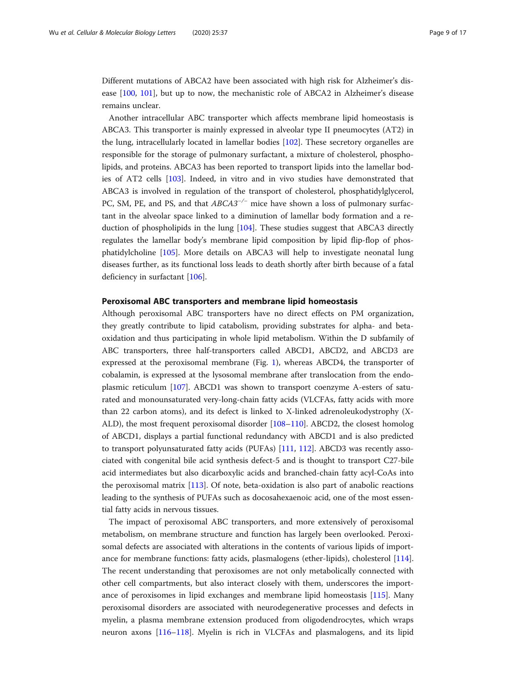Different mutations of ABCA2 have been associated with high risk for Alzheimer's disease [\[100](#page-15-0), [101\]](#page-15-0), but up to now, the mechanistic role of ABCA2 in Alzheimer's disease remains unclear.

Another intracellular ABC transporter which affects membrane lipid homeostasis is ABCA3. This transporter is mainly expressed in alveolar type II pneumocytes (AT2) in the lung, intracellularly located in lamellar bodies [\[102](#page-15-0)]. These secretory organelles are responsible for the storage of pulmonary surfactant, a mixture of cholesterol, phospholipids, and proteins. ABCA3 has been reported to transport lipids into the lamellar bodies of AT2 cells [[103](#page-15-0)]. Indeed, in vitro and in vivo studies have demonstrated that ABCA3 is involved in regulation of the transport of cholesterol, phosphatidylglycerol, PC, SM, PE, and PS, and that ABCA3<sup>-/−</sup> mice have shown a loss of pulmonary surfactant in the alveolar space linked to a diminution of lamellar body formation and a reduction of phospholipids in the lung [[104](#page-15-0)]. These studies suggest that ABCA3 directly regulates the lamellar body's membrane lipid composition by lipid flip-flop of phosphatidylcholine [[105](#page-15-0)]. More details on ABCA3 will help to investigate neonatal lung diseases further, as its functional loss leads to death shortly after birth because of a fatal deficiency in surfactant [[106\]](#page-15-0).

#### Peroxisomal ABC transporters and membrane lipid homeostasis

Although peroxisomal ABC transporters have no direct effects on PM organization, they greatly contribute to lipid catabolism, providing substrates for alpha- and betaoxidation and thus participating in whole lipid metabolism. Within the D subfamily of ABC transporters, three half-transporters called ABCD1, ABCD2, and ABCD3 are expressed at the peroxisomal membrane (Fig. [1\)](#page-4-0), whereas ABCD4, the transporter of cobalamin, is expressed at the lysosomal membrane after translocation from the endoplasmic reticulum [[107](#page-15-0)]. ABCD1 was shown to transport coenzyme A-esters of saturated and monounsaturated very-long-chain fatty acids (VLCFAs, fatty acids with more than 22 carbon atoms), and its defect is linked to X-linked adrenoleukodystrophy (X-ALD), the most frequent peroxisomal disorder [[108](#page-15-0)–[110](#page-15-0)]. ABCD2, the closest homolog of ABCD1, displays a partial functional redundancy with ABCD1 and is also predicted to transport polyunsaturated fatty acids (PUFAs) [[111,](#page-15-0) [112\]](#page-15-0). ABCD3 was recently associated with congenital bile acid synthesis defect-5 and is thought to transport C27-bile acid intermediates but also dicarboxylic acids and branched-chain fatty acyl-CoAs into the peroxisomal matrix [\[113\]](#page-15-0). Of note, beta-oxidation is also part of anabolic reactions leading to the synthesis of PUFAs such as docosahexaenoic acid, one of the most essential fatty acids in nervous tissues.

The impact of peroxisomal ABC transporters, and more extensively of peroxisomal metabolism, on membrane structure and function has largely been overlooked. Peroxisomal defects are associated with alterations in the contents of various lipids of importance for membrane functions: fatty acids, plasmalogens (ether-lipids), cholesterol [[114](#page-15-0)]. The recent understanding that peroxisomes are not only metabolically connected with other cell compartments, but also interact closely with them, underscores the importance of peroxisomes in lipid exchanges and membrane lipid homeostasis [\[115](#page-15-0)]. Many peroxisomal disorders are associated with neurodegenerative processes and defects in myelin, a plasma membrane extension produced from oligodendrocytes, which wraps neuron axons [[116](#page-15-0)–[118](#page-15-0)]. Myelin is rich in VLCFAs and plasmalogens, and its lipid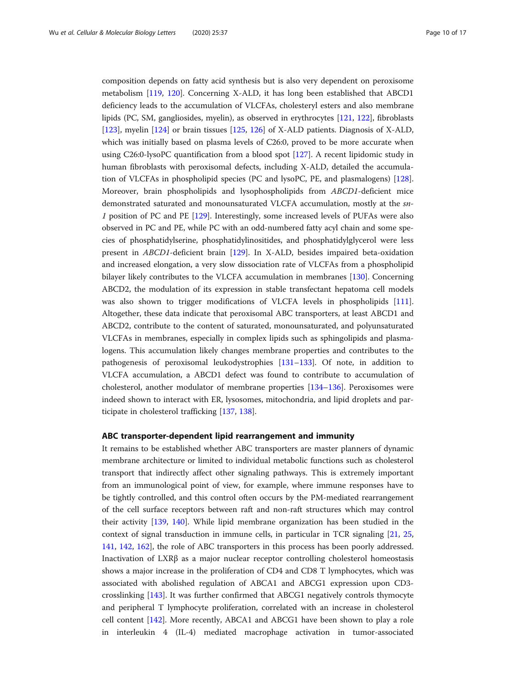composition depends on fatty acid synthesis but is also very dependent on peroxisome metabolism [\[119,](#page-15-0) [120\]](#page-15-0). Concerning X-ALD, it has long been established that ABCD1 deficiency leads to the accumulation of VLCFAs, cholesteryl esters and also membrane lipids (PC, SM, gangliosides, myelin), as observed in erythrocytes [\[121,](#page-15-0) [122\]](#page-15-0), fibroblasts [[123\]](#page-15-0), myelin [[124\]](#page-15-0) or brain tissues [[125](#page-15-0), [126](#page-15-0)] of X-ALD patients. Diagnosis of X-ALD, which was initially based on plasma levels of C26:0, proved to be more accurate when using C26:0-lysoPC quantification from a blood spot [\[127\]](#page-15-0). A recent lipidomic study in human fibroblasts with peroxisomal defects, including X-ALD, detailed the accumulation of VLCFAs in phospholipid species (PC and lysoPC, PE, and plasmalogens) [[128](#page-15-0)]. Moreover, brain phospholipids and lysophospholipids from ABCD1-deficient mice demonstrated saturated and monounsaturated VLCFA accumulation, mostly at the sn-1 position of PC and PE [[129](#page-15-0)]. Interestingly, some increased levels of PUFAs were also observed in PC and PE, while PC with an odd-numbered fatty acyl chain and some species of phosphatidylserine, phosphatidylinositides, and phosphatidylglycerol were less present in ABCD1-deficient brain [[129](#page-15-0)]. In X-ALD, besides impaired beta-oxidation and increased elongation, a very slow dissociation rate of VLCFAs from a phospholipid bilayer likely contributes to the VLCFA accumulation in membranes [[130](#page-15-0)]. Concerning ABCD2, the modulation of its expression in stable transfectant hepatoma cell models was also shown to trigger modifications of VLCFA levels in phospholipids [[111](#page-15-0)]. Altogether, these data indicate that peroxisomal ABC transporters, at least ABCD1 and ABCD2, contribute to the content of saturated, monounsaturated, and polyunsaturated VLCFAs in membranes, especially in complex lipids such as sphingolipids and plasmalogens. This accumulation likely changes membrane properties and contributes to the pathogenesis of peroxisomal leukodystrophies [[131](#page-16-0)–[133](#page-16-0)]. Of note, in addition to VLCFA accumulation, a ABCD1 defect was found to contribute to accumulation of cholesterol, another modulator of membrane properties [\[134](#page-16-0)–[136\]](#page-16-0). Peroxisomes were indeed shown to interact with ER, lysosomes, mitochondria, and lipid droplets and participate in cholesterol trafficking [\[137](#page-16-0), [138\]](#page-16-0).

#### ABC transporter-dependent lipid rearrangement and immunity

It remains to be established whether ABC transporters are master planners of dynamic membrane architecture or limited to individual metabolic functions such as cholesterol transport that indirectly affect other signaling pathways. This is extremely important from an immunological point of view, for example, where immune responses have to be tightly controlled, and this control often occurs by the PM-mediated rearrangement of the cell surface receptors between raft and non-raft structures which may control their activity [[139](#page-16-0), [140](#page-16-0)]. While lipid membrane organization has been studied in the context of signal transduction in immune cells, in particular in TCR signaling [\[21,](#page-12-0) [25](#page-12-0), [141](#page-16-0), [142,](#page-16-0) [162\]](#page-16-0), the role of ABC transporters in this process has been poorly addressed. Inactivation of LXRβ as a major nuclear receptor controlling cholesterol homeostasis shows a major increase in the proliferation of CD4 and CD8 T lymphocytes, which was associated with abolished regulation of ABCA1 and ABCG1 expression upon CD3 crosslinking [[143\]](#page-16-0). It was further confirmed that ABCG1 negatively controls thymocyte and peripheral T lymphocyte proliferation, correlated with an increase in cholesterol cell content [[142](#page-16-0)]. More recently, ABCA1 and ABCG1 have been shown to play a role in interleukin 4 (IL-4) mediated macrophage activation in tumor-associated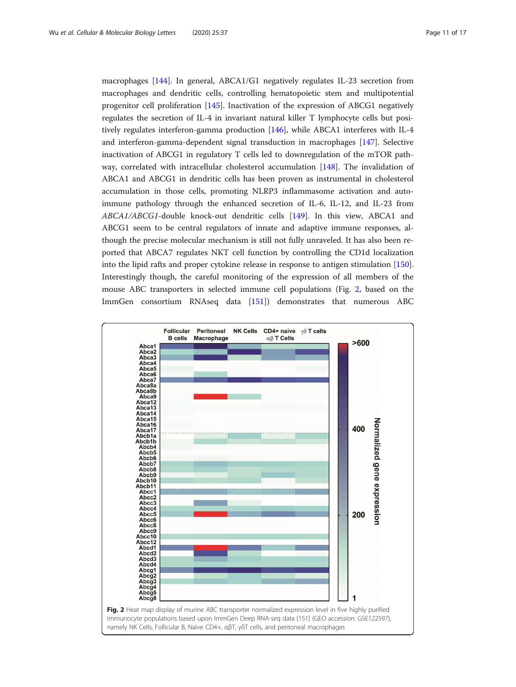macrophages [[144\]](#page-16-0). In general, ABCA1/G1 negatively regulates IL-23 secretion from macrophages and dendritic cells, controlling hematopoietic stem and multipotential progenitor cell proliferation [\[145](#page-16-0)]. Inactivation of the expression of ABCG1 negatively regulates the secretion of IL-4 in invariant natural killer T lymphocyte cells but positively regulates interferon-gamma production [[146\]](#page-16-0), while ABCA1 interferes with IL-4 and interferon-gamma-dependent signal transduction in macrophages [\[147\]](#page-16-0). Selective inactivation of ABCG1 in regulatory T cells led to downregulation of the mTOR pathway, correlated with intracellular cholesterol accumulation [\[148](#page-16-0)]. The invalidation of ABCA1 and ABCG1 in dendritic cells has been proven as instrumental in cholesterol accumulation in those cells, promoting NLRP3 inflammasome activation and autoimmune pathology through the enhanced secretion of IL-6, IL-12, and IL-23 from ABCA1/ABCG1-double knock-out dendritic cells [\[149](#page-16-0)]. In this view, ABCA1 and ABCG1 seem to be central regulators of innate and adaptive immune responses, although the precise molecular mechanism is still not fully unraveled. It has also been reported that ABCA7 regulates NKT cell function by controlling the CD1d localization into the lipid rafts and proper cytokine release in response to antigen stimulation [[150](#page-16-0)]. Interestingly though, the careful monitoring of the expression of all members of the mouse ABC transporters in selected immune cell populations (Fig. 2, based on the ImmGen consortium RNAseq data [\[151\]](#page-16-0)) demonstrates that numerous ABC

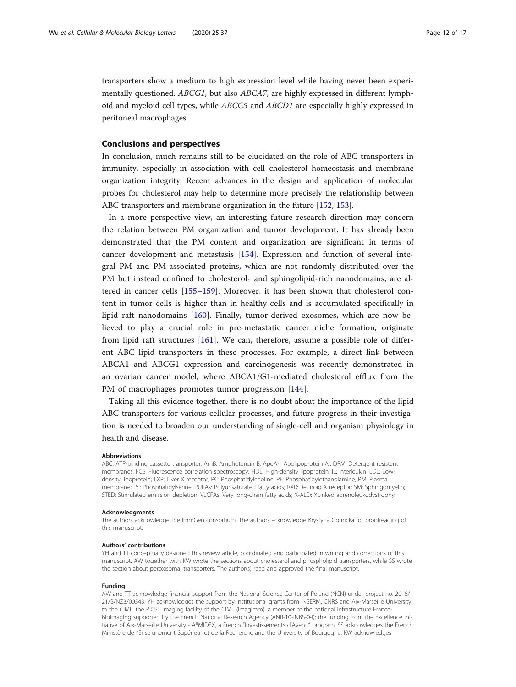transporters show a medium to high expression level while having never been experimentally questioned. ABCG1, but also ABCA7, are highly expressed in different lymphoid and myeloid cell types, while ABCC5 and ABCD1 are especially highly expressed in peritoneal macrophages.

### Conclusions and perspectives

In conclusion, much remains still to be elucidated on the role of ABC transporters in immunity, especially in association with cell cholesterol homeostasis and membrane organization integrity. Recent advances in the design and application of molecular probes for cholesterol may help to determine more precisely the relationship between ABC transporters and membrane organization in the future [[152](#page-16-0), [153](#page-16-0)].

In a more perspective view, an interesting future research direction may concern the relation between PM organization and tumor development. It has already been demonstrated that the PM content and organization are significant in terms of cancer development and metastasis [[154\]](#page-16-0). Expression and function of several integral PM and PM-associated proteins, which are not randomly distributed over the PM but instead confined to cholesterol- and sphingolipid-rich nanodomains, are altered in cancer cells [[155](#page-16-0)–[159\]](#page-16-0). Moreover, it has been shown that cholesterol content in tumor cells is higher than in healthy cells and is accumulated specifically in lipid raft nanodomains [[160\]](#page-16-0). Finally, tumor-derived exosomes, which are now believed to play a crucial role in pre-metastatic cancer niche formation, originate from lipid raft structures [[161\]](#page-16-0). We can, therefore, assume a possible role of different ABC lipid transporters in these processes. For example, a direct link between ABCA1 and ABCG1 expression and carcinogenesis was recently demonstrated in an ovarian cancer model, where ABCA1/G1-mediated cholesterol efflux from the PM of macrophages promotes tumor progression [[144\]](#page-16-0).

Taking all this evidence together, there is no doubt about the importance of the lipid ABC transporters for various cellular processes, and future progress in their investigation is needed to broaden our understanding of single-cell and organism physiology in health and disease.

#### Abbreviations

ABC: ATP-binding cassette transporter; AmB: Amphotericin B; ApoA-I: Apolipoprotein AI; DRM: Detergent resistant membranes; FCS: Fluorescence correlation spectroscopy; HDL: High-density lipoprotein; IL: Interleukin; LDL: Lowdensity lipoprotein; LXR: Liver X receptor; PC: Phosphatidylcholine; PE: Phosphatidylethanolamine; PM: Plasma membrane; PS: Phosphatidylserine; PUFAs: Polyunsaturated fatty acids; RXR: Retinoid X receptor; SM: Sphingomyelin; STED: Stimulated emission depletion; VLCFAs: Very long-chain fatty acids; X-ALD: XLinked adrenoleukodystrophy

#### Acknowledgments

The authors acknowledge the ImmGen consortium. The authors acknowledge Krystyna Gornicka for proofreading of this manuscript.

#### Authors' contributions

YH and TT conceptually designed this review article, coordinated and participated in writing and corrections of this manuscript. AW together with KW wrote the sections about cholesterol and phospholipid transporters, while SS wrote the section about peroxisomal transporters. The author(s) read and approved the final manuscript.

#### Funding

AW and TT acknowledge financial support from the National Science Center of Poland (NCN) under project no. 2016/ 21/B/NZ3/00343. YH acknowledges the support by institutional grants from INSERM, CNRS and Aix-Marseille University to the CIML; the PICSL imaging facility of the CIML (ImagImm), a member of the national infrastructure France-BioImaging supported by the French National Research Agency (ANR-10-INBS-04); the funding from the Excellence Initiative of Aix-Marseille University - A\*MIDEX, a French "Investissements d'Avenir" program. SS acknowledges the French Ministère de l'Enseignement Supérieur et de la Recherche and the University of Bourgogne. KW acknowledges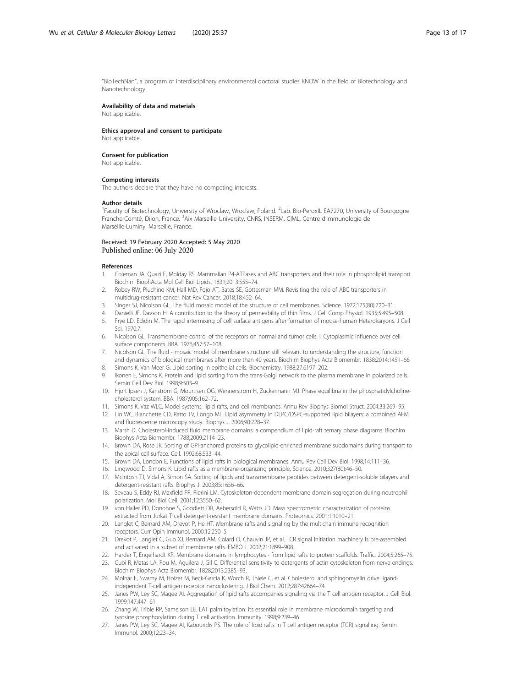<span id="page-12-0"></span>"BioTechNan", a program of interdisciplinary environmental doctoral studies KNOW in the field of Biotechnology and Nanotechnology.

#### Availability of data and materials

Not applicable.

#### Ethics approval and consent to participate

Not applicable.

#### Consent for publication

Not applicable.

#### Competing interests

The authors declare that they have no competing interests.

#### Author details

<sup>1</sup>Faculty of Biotechnology, University of Wroclaw, Wroclaw, Poland. <sup>2</sup>Lab. Bio-PeroxIL EA7270, University of Bourgogne Franche-Comté, Dijon, France. <sup>3</sup>Aix Marseille University, CNRS, INSERM, CIML, Centre d'Immunologie de Marseille-Luminy, Marseille, France.

#### Received: 19 February 2020 Accepted: 5 May 2020 Published online: 06 July 2020

#### References

- 1. Coleman JA, Quazi F, Molday RS. Mammalian P4-ATPases and ABC transporters and their role in phospholipid transport. Biochim BiophActa Mol Cell Biol Lipids. 1831;2013:555–74.
- 2. Robey RW, Pluchino KM, Hall MD, Fojo AT, Bates SE, Gottesman MM. Revisiting the role of ABC transporters in multidrug-resistant cancer. Nat Rev Cancer. 2018;18:452–64.
- 3. Singer SJ, Nicolson GL. The fluid mosaic model of the structure of cell membranes. Science. 1972;175(80):720–31.
- Danielli JF, Davson H. A contribution to the theory of permeability of thin films. J Cell Comp Physiol. 1935;5:495-508.
- 5. Frye LD, Edidin M. The rapid intermixing of cell surface antigens after formation of mouse-human Heterokaryons. J Cell Sci. 1970;7.
- 6. Nicolson GL. Transmembrane control of the receptors on normal and tumor cells. I. Cytoplasmic influence over cell surface components. BBA. 1976;457:57–108.
- 7. Nicolson GL. The fluid mosaic model of membrane structure: still relevant to understanding the structure, function and dynamics of biological membranes after more than 40 years. Biochim Biophys Acta Biomembr. 1838;2014:1451–66.
- 8. Simons K, Van Meer G. Lipid sorting in epithelial cells. Biochemistry. 1988;27:6197–202. 9. Ikonen E, Simons K. Protein and lipid sorting from the trans-Golgi network to the plasma membrane in polarized cells. Semin Cell Dev Biol. 1998;9:503–9.
- 10. Hjort Ipsen J, Karlström G, Mourtisen OG, Wennerström H, Zuckermann MJ. Phase equilibria in the phosphatidylcholinecholesterol system. BBA. 1987;905:162–72.
- 11. Simons K, Vaz WLC. Model systems, lipid rafts, and cell membranes. Annu Rev Biophys Biomol Struct. 2004;33:269–95.
- 12. Lin WC, Blanchette CD, Ratto TV, Longo ML. Lipid asymmetry in DLPC/DSPC-supported lipid bilayers: a combined AFM and fluorescence microscopy study. Biophys J. 2006;90:228–37.
- 13. Marsh D. Cholesterol-induced fluid membrane domains: a compendium of lipid-raft ternary phase diagrams. Biochim Biophys Acta Biomembr. 1788;2009:2114–23.
- 14. Brown DA, Rose JK. Sorting of GPI-anchored proteins to glycolipid-enriched membrane subdomains during transport to the apical cell surface. Cell. 1992;68:533–44.
- 15. Brown DA, London E. Functions of lipid rafts in biological membranes. Annu Rev Cell Dev Biol. 1998;14:111–36.
- 16. Lingwood D, Simons K. Lipid rafts as a membrane-organizing principle. Science. 2010;327(80):46–50.
- 17. McIntosh TJ, Vidal A, Simon SA. Sorting of lipids and transmembrane peptides between detergent-soluble bilayers and detergent-resistant rafts. Biophys J. 2003;85:1656–66.
- 18. Seveau S, Eddy RJ, Maxfield FR, Pierini LM. Cytoskeleton-dependent membrane domain segregation during neutrophil polarization. Mol Biol Cell. 2001;12:3550–62.
- 19. von Haller PD, Donohoe S, Goodlett DR, Aebersold R, Watts JD. Mass spectrometric characterization of proteins extracted from Jurkat T cell detergent-resistant membrane domains. Proteomics. 2001;1:1010–21.
- 20. Langlet C, Bernard AM, Drevot P, He HT. Membrane rafts and signaling by the multichain immune recognition receptors. Curr Opin Immunol. 2000;12:250–5.
- 21. Drevot P, Langlet C, Guo XJ, Bernard AM, Colard O, Chauvin JP, et al. TCR signal initiation machinery is pre-assembled and activated in a subset of membrane rafts. EMBO J. 2002;21:1899–908.
- 22. Harder T, Engelhardt KR. Membrane domains in lymphocytes from lipid rafts to protein scaffolds. Traffic. 2004;5:265–75.
- 23. Cubí R, Matas LA, Pou M, Aguilera J, Gil C. Differential sensitivity to detergents of actin cytoskeleton from nerve endings. Biochim Biophys Acta Biomembr. 1828;2013:2385–93.
- 24. Molnár E, Swamy M, Holzer M, Beck-García K, Worch R, Thiele C, et al. Cholesterol and sphingomyelin drive ligandindependent T-cell antigen receptor nanoclustering. J Biol Chem. 2012;287:42664–74.
- 25. Janes PW, Ley SC, Magee AI. Aggregation of lipid rafts accompanies signaling via the T cell antigen receptor. J Cell Biol. 1999;147:447–61.
- 26. Zhang W, Trible RP, Samelson LE. LAT palmitoylation: its essential role in membrane microdomain targeting and tyrosine phosphorylation during T cell activation. Immunity. 1998;9:239–46.
- 27. Janes PW, Ley SC, Magee AI, Kabouridis PS. The role of lipid rafts in T cell antigen receptor (TCR) signalling. Semin Immunol. 2000;12:23–34.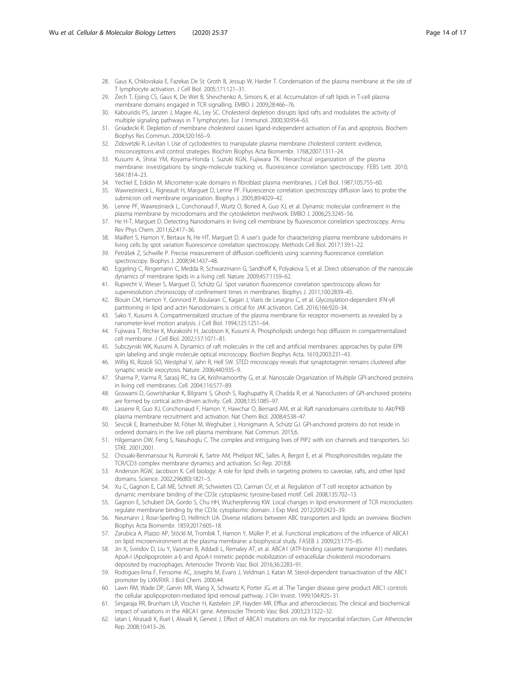- <span id="page-13-0"></span>28. Gaus K, Chklovskaia E, Fazekas De St. Groth B, Jessup W, Harder T. Condensation of the plasma membrane at the site of T lymphocyte activation. J Cell Biol. 2005;171:121–31.
- 29. Zech T, Ejsing CS, Gaus K, De Wet B, Shevchenko A, Simons K, et al. Accumulation of raft lipids in T-cell plasma membrane domains engaged in TCR signalling. EMBO J. 2009;28:466–76.
- 30. Kabouridis PS, Janzen J, Magee AL, Ley SC. Cholesterol depletion disrupts lipid rafts and modulates the activity of multiple signaling pathways in T lymphocytes. Eur J Immunol. 2000;30:954–63.
- 31. Gniadecki R. Depletion of membrane cholesterol causes ligand-independent activation of Fas and apoptosis. Biochem Biophys Res Commun. 2004;320:165–9.
- 32. Zidovetzki R, Levitan I. Use of cyclodextrins to manipulate plasma membrane cholesterol content: evidence, misconceptions and control strategies. Biochim Biophys Acta Biomembr. 1768;2007:1311–24.
- 33. Kusumi A, Shirai YM, Koyama-Honda I, Suzuki KGN, Fujiwara TK. Hierarchical organization of the plasma membrane: investigations by single-molecule tracking vs. fluorescence correlation spectroscopy. FEBS Lett. 2010; 584:1814–23.
- 34. Yechiel E, Edidin M. Micrometer-scale domains in fibroblast plasma membranes. J Cell Biol. 1987;105:755–60.
- 35. Wawrezinieck L, Rigneault H, Marguet D, Lenne PF. Fluorescence correlation spectroscopy diffusion laws to probe the submicron cell membrane organization. Biophys J. 2005;89:4029–42.
- Lenne PF, Wawrezinieck L, Conchonaud F, Wurtz O, Boned A, Guo XJ, et al. Dynamic molecular confinement in the plasma membrane by microdomains and the cytoskeleton meshwork. EMBO J. 2006;25:3245–56.
- 37. He H-T, Marguet D. Detecting Nanodomains in living cell membrane by fluorescence correlation spectroscopy. Annu Rev Phys Chem. 2011;62:417–36.
- 38. Mailfert S, Hamon Y, Bertaux N, He HT, Marguet D. A user's guide for characterizing plasma membrane subdomains in living cells by spot variation fluorescence correlation spectroscopy. Methods Cell Biol. 2017;139:1–22.
- 39. Petrášek Z, Schwille P. Precise measurement of diffusion coefficients using scanning fluorescence correlation spectroscopy. Biophys J. 2008;94:1437–48.
- 40. Eggeling C, Ringemann C, Medda R, Schwarzmann G, Sandhoff K, Polyakova S, et al. Direct observation of the nanoscale dynamics of membrane lipids in a living cell. Nature. 2009;457:1159–62.
- 41. Ruprecht V, Wieser S, Marguet D, Schütz GJ. Spot variation fluorescence correlation spectroscopy allows for superresolution chronoscopy of confinement times in membranes. Biophys J. 2011;100:2839–45.
- 42. Blouin CM, Hamon Y, Gonnord P, Boularan C, Kagan J, Viaris de Lesegno C, et al. Glycosylation-dependent IFN-γR partitioning in lipid and actin Nanodomains is critical for JAK activation. Cell. 2016;166:920–34.
- 43. Sako Y, Kusumi A. Compartmentalized structure of the plasma membrane for receptor movements as revealed by a nanometer-level motion analysis. J Cell Biol. 1994;125:1251–64.
- 44. Fujiwara T, Ritchie K, Murakoshi H, Jacobson K, Kusumi A. Phospholipids undergo hop diffusion in compartmentalized cell membrane. J Cell Biol. 2002;157:1071–81.
- 45. Subczynski WK, Kusumi A. Dynamics of raft molecules in the cell and artificial membranes: approaches by pulse EPR spin labeling and single molecule optical microscopy. Biochim Biophys Acta. 1610;2003:231–43.
- 46. Willig KI, Rizzoli SO, Westphal V, Jahn R, Hell SW. STED microscopy reveals that synaptotagmin remains clustered after synaptic vesicle exocytosis. Nature. 2006;440:935–9.
- 47. Sharma P, Varma R, Sarasij RC, Ira GK, Krishnamoorthy G, et al. Nanoscale Organization of Multiple GPI-anchored proteins in living cell membranes. Cell. 2004;116:577–89.
- 48. Goswami D, Gowrishankar K, Bilgrami S, Ghosh S, Raghupathy R, Chadda R, et al. Nanoclusters of GPI-anchored proteins are formed by cortical actin-driven activity. Cell. 2008;135:1085–97.
- 49. Lasserre R, Guo XJ, Conchonaud F, Hamon Y, Hawchar O, Bernard AM, et al. Raft nanodomains contribute to Akt/PKB plasma membrane recruitment and activation. Nat Chem Biol. 2008;4:538–47.
- 50. Sevcsik E, Brameshuber M, Fölser M, Weghuber J, Honigmann A, Schütz GJ. GPI-anchored proteins do not reside in ordered domains in the live cell plasma membrane. Nat Commun. 2015;6.
- 51. Hilgemann DW, Feng S, Nasuhoglu C. The complex and intriguing lives of PIP2 with ion channels and transporters. Sci STKE. 2001;2001.
- 52. Chouaki-Benmansour N, Ruminski K, Sartre AM, Phelipot MC, Salles A, Bergot E, et al. Phosphoinositides regulate the TCR/CD3 complex membrane dynamics and activation. Sci Rep. 2018;8.
- 53. Anderson RGW, Jacobson K. Cell biology: A role for lipid shells in targeting proteins to caveolae, rafts, and other lipid domains. Science. 2002;296(80):1821–5.
- 54. Xu C, Gagnon E, Call ME, Schnell JR, Schwieters CD, Carman CV, et al. Regulation of T cell receptor activation by dynamic membrane binding of the CD3ε cytoplasmic tyrosine-based motif. Cell. 2008;135:702–13.
- 55. Gagnon E, Schubert DA, Gordo S, Chu HH, Wucherpfennig KW. Local changes in lipid environment of TCR microclusters regulate membrane binding by the CD3ε cytoplasmic domain. J Exp Med. 2012;209:2423–39.
- 56. Neumann J, Rose-Sperling D, Hellmich UA. Diverse relations between ABC transporters and lipids: an overview. Biochim Biophys Acta Biomembr. 1859;2017:605–18.
- 57. Zarubica A, Plazzo AP, Stöckl M, Trombik T, Hamon Y, Müller P, et al. Functional implications of the influence of ABCA1 on lipid microenvironment at the plasma membrane: a biophysical study. FASEB J. 2009;23:1775–85.
- 58. Jin X, Sviridov D, Liu Y, Vaisman B, Addadi L, Remaley AT, et al. ABCA1 (ATP-binding cassette transporter A1) mediates ApoA-I (Apolipoprotein a-I) and ApoA-I mimetic peptide mobilization of extracellular cholesterol microdomains deposited by macrophages. Arterioscler Thromb Vasc Biol. 2016;36:2283–91.
- 59. Rodrigues-lima F, Fensome AC, Josephs M, Evans J, Veldman J, Katan M. Sterol-dependent transactivation of the ABC1 promoter by LXR/RXR. J Biol Chem. 2000;44.
- 60. Lawn RM, Wade DP, Garvin MR, Wang X, Schwartz K, Porter JG, et al. The Tangier disease gene product ABC1 controls the cellular apolipoprotein-mediated lipid removal pathway. J Clin Invest. 1999;104:R25–31.
- 61. Singaraja RR, Brunham LR, Visscher H, Kastelein JJP, Hayden MR. Efflux and atherosclerosis: The clinical and biochemical impact of variations in the ABCA1 gene. Arterioscler Thromb Vasc Biol. 2003;23:1322–32.
- 62. Iatan I, Alrasadi K, Ruel I, Alwaili K, Genest J. Effect of ABCA1 mutations on risk for myocardial infarction. Curr Atheroscler Rep. 2008;10:413–26.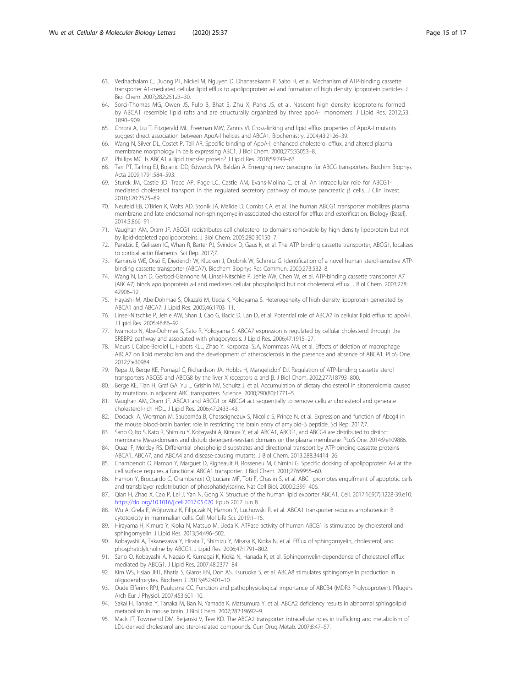- <span id="page-14-0"></span>63. Vedhachalam C, Duong PT, Nickel M, Nguyen D, Dhanasekaran P, Saito H, et al. Mechanism of ATP-binding cassette transporter A1-mediated cellular lipid efflux to apolipoprotein a-I and formation of high density lipoprotein particles. J Biol Chem. 2007;282:25123–30.
- 64. Sorci-Thomas MG, Owen JS, Fulp B, Bhat S, Zhu X, Parks JS, et al. Nascent high density lipoproteins formed by ABCA1 resemble lipid rafts and are structurally organized by three apoA-I monomers. J Lipid Res. 2012;53: 1890–909.
- 65. Chroni A, Liu T, Fitzgerald ML, Freeman MW, Zannis VI. Cross-linking and lipid efflux properties of ApoA-I mutants suggest direct association between ApoA-I helices and ABCA1. Biochemistry. 2004;43:2126–39.
- 66. Wang N, Silver DL, Costet P, Tall AR. Specific binding of ApoA-I, enhanced cholesterol efflux, and altered plasma membrane morphology in cells expressing ABC1. J Biol Chem. 2000;275:33053–8.
- 67. Phillips MC. Is ABCA1 a lipid transfer protein? J Lipid Res. 2018;59:749–63.
- 68. Tarr PT, Tarling EJ, Bojanic DD, Edwards PA, Baldán Á. Emerging new paradigms for ABCG transporters. Biochim Biophys Acta 2009;1791:584–593.
- 69. Sturek JM, Castle JD, Trace AP, Page LC, Castle AM, Evans-Molina C, et al. An intracellular role for ABCG1 mediated cholesterol transport in the regulated secretory pathway of mouse pancreatic β cells. J Clin Invest. 2010;120:2575–89.
- 70. Neufeld EB, O'Brien K, Walts AD, Stonik JA, Malide D, Combs CA, et al. The human ABCG1 transporter mobilizes plasma membrane and late endosomal non-sphingomyelin-associated-cholesterol for efflux and esterification. Biology (Basel). 2014;3:866–91.
- 71. Vaughan AM, Oram JF. ABCG1 redistributes cell cholesterol to domains removable by high density lipoprotein but not by lipid-depleted apolipoproteins. J Biol Chem. 2005;280:30150–7.
- 72. Pandzic E, Gelissen IC, Whan R, Barter PJ, Sviridov D, Gaus K, et al. The ATP binding cassette transporter, ABCG1, localizes to cortical actin filaments. Sci Rep. 2017;7.
- 73. Kaminski WE, Orsó E, Diederich W, Klucken J, Drobnik W, Schmitz G. Identification of a novel human sterol-sensitive ATPbinding cassette transporter (ABCA7). Biochem Biophys Res Commun. 2000;273:532–8.
- 74. Wang N, Lan D, Gerbod-Giannone M, Linsel-Nitschke P, Jehle AW, Chen W, et al. ATP-binding cassette transporter A7 (ABCA7) binds apolipoprotein a-I and mediates cellular phospholipid but not cholesterol efflux. J Biol Chem. 2003;278: 42906–12.
- 75. Hayashi M, Abe-Dohmae S, Okazaki M, Ueda K, Yokoyama S. Heterogeneity of high density lipoprotein generated by ABCA1 and ABCA7. J Lipid Res. 2005;46:1703–11.
- 76. Linsel-Nitschke P, Jehle AW, Shan J, Cao G, Bacic D, Lan D, et al. Potential role of ABCA7 in cellular lipid efflux to apoA-I. J Lipid Res. 2005;46:86–92.
- 77. Iwamoto N, Abe-Dohmae S, Sato R, Yokoyama S. ABCA7 expression is regulated by cellular cholesterol through the SREBP2 pathway and associated with phagocytosis. J Lipid Res. 2006;47:1915–27.
- 78. Meurs I, Calpe-Berdiel L, Habets KLL, Zhao Y, Korporaal SJA, Mommaas AM, et al. Effects of deletion of macrophage ABCA7 on lipid metabolism and the development of atherosclerosis in the presence and absence of ABCA1. PLoS One. 2012;7:e30984.
- 79. Repa JJ, Berge KE, Pomajzl C, Richardson JA, Hobbs H, Mangelsdorf DJ. Regulation of ATP-binding cassette sterol transporters ABCG5 and ABCG8 by the liver X receptors α and β. J Biol Chem. 2002;277:18793–800.
- 80. Berge KE, Tian H, Graf GA, Yu L, Grishin NV, Schultz J, et al. Accumulation of dietary cholesterol in sitosterolemia caused by mutations in adjacent ABC transporters. Science. 2000;290(80):1771–5.
- 81. Vaughan AM, Oram JF. ABCA1 and ABCG1 or ABCG4 act sequentially to remove cellular cholesterol and generate cholesterol-rich HDL. J Lipid Res. 2006;47:2433–43.
- 82. Dodacki A, Wortman M, Saubaméa B, Chasseigneaux S, Nicolic S, Prince N, et al. Expression and function of Abcg4 in the mouse blood-brain barrier: role in restricting the brain entry of amyloid-β peptide. Sci Rep. 2017;7.
- 83. Sano O, Ito S, Kato R, Shimizu Y, Kobayashi A, Kimura Y, et al. ABCA1, ABCG1, and ABCG4 are distributed to distinct membrane Meso-domains and disturb detergent-resistant domains on the plasma membrane. PLoS One. 2014;9:e109886.
- 84. Quazi F, Molday RS. Differential phospholipid substrates and directional transport by ATP-binding cassette proteins ABCA1, ABCA7, and ABCA4 and disease-causing mutants. J Biol Chem. 2013;288:34414–26.
- 85. Chambenoit O, Hamon Y, Marguet D, Rigneault H, Rosseneu M, Chimini G. Specific docking of apolipoprotein A-I at the cell surface requires a functional ABCA1 transporter. J Biol Chem. 2001;276:9955–60.
- 86. Hamon Y, Broccardo C, Chambenoit O, Luciani MF, Toti F, Chaslin S, et al. ABC1 promotes engulfment of apoptotic cells and transbilayer redistribution of phosphatidylserine. Nat Cell Biol. 2000;2:399–406.
- 87. Qian H, Zhao X, Cao P, Lei J, Yan N, Gong X. Structure of the human lipid exporter ABCA1. Cell. 2017;169(7):1228-39.e10. <https://doi.org/10.1016/j.cell.2017.05.020>. Epub 2017 Jun 8.
- 88. Wu A, Grela E, Wójtowicz K, Filipczak N, Hamon Y, Luchowski R, et al. ABCA1 transporter reduces amphotericin B cytotoxicity in mammalian cells. Cell Mol Life Sci. 2019:1–16.
- 89. Hirayama H, Kimura Y, Kioka N, Matsuo M, Ueda K. ATPase activity of human ABCG1 is stimulated by cholesterol and sphingomyelin. J Lipid Res. 2013;54:496–502.
- 90. Kobayashi A, Takanezawa Y, Hirata T, Shimizu Y, Misasa K, Kioka N, et al. Efflux of sphingomyelin, cholesterol, and phosphatidylcholine by ABCG1. J Lipid Res. 2006;47:1791–802.
- 91. Sano O, Kobayashi A, Nagao K, Kumagai K, Kioka N, Hanada K, et al. Sphingomyelin-dependence of cholesterol efflux mediated by ABCG1. J Lipid Res. 2007;48:2377–84.
- 92. Kim WS, Hsiao JHT, Bhatia S, Glaros EN, Don AS, Tsuruoka S, et al. ABCA8 stimulates sphingomyelin production in oligodendrocytes. Biochem J. 2013;452:401–10.
- 93. Oude Elferink RPJ, Paulusma CC. Function and pathophysiological importance of ABCB4 (MDR3 P-glycoprotein). Pflugers Arch Eur J Physiol. 2007;453:601–10.
- 94. Sakai H, Tanaka Y, Tanaka M, Ban N, Yamada K, Matsumura Y, et al. ABCA2 deficiency results in abnormal sphingolipid metabolism in mouse brain. J Biol Chem. 2007;282:19692–9.
- 95. Mack JT, Townsend DM, Beljanski V, Tew KD. The ABCA2 transporter: intracellular roles in trafficking and metabolism of LDL-derived cholesterol and sterol-related compounds. Curr Drug Metab. 2007;8:47–57.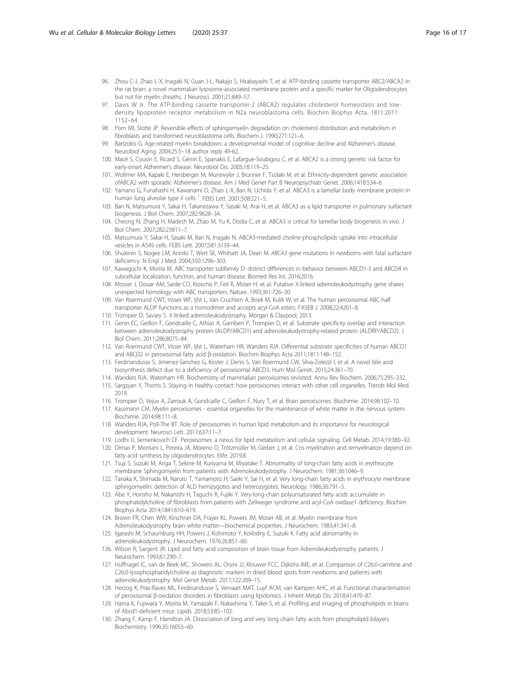- <span id="page-15-0"></span>96. Zhou C-J, Zhao L-X, Inagaki N, Guan J-L, Nakajo S, Hirabayashi T, et al. ATP-binding cassette transporter ABC2/ABCA2 in the rat brain: a novel mammalian lysosome-associated membrane protein and a specific marker for Oligodendrocytes but not for myelin sheaths. J Neurosci. 2001;21:849–57.
- 97. Davis W Jr. The ATP-binding cassette transporter-2 (ABCA2) regulates cholesterol homeostasis and lowdensity lipoprotein receptor metabolism in N2a neuroblastoma cells. Biochim Biophys Acta. 1811;2011: 1152–64.
- 98. Porn MI, Slotte JP. Reversible effects of sphingomyelin degradation on cholesterol distribution and metabolism in fibroblasts and transformed neuroblastoma cells. Biochem J. 1990;271:121–6.
- 99. Bartzokis G. Age-related myelin breakdown: a developmental model of cognitive decline and Alzheimer's disease. Neurobiol Aging. 2004;25:5–18 author reply 49-62.
- 100. Macé S, Cousin E, Ricard S, Génin E, Spanakis E, Lafargue-Soubigou C, et al. ABCA2 is a strong genetic risk factor for early-onset Alzheimer's disease. Neurobiol Dis. 2005;18:119–25.
- 101. Wollmer MA, Kapaki E, Hersberger M, Muntwyler J, Brunner F, Tsolaki M, et al. Ethnicity-dependent genetic association ofABCA2 with sporadic Alzheimer's disease. Am J Med Genet Part B Neuropsychiatr Genet. 2006;141B:534–6.
- 102. Yamano G, Funahashi H, Kawanami O, Zhao L-X, Ban N, Uchida Y, et al. ABCA3 is a lamellar body membrane protein in human lung alveolar type II cells <sup>1</sup>. FEBS Lett. 2001;508:221-5.
- 103. Ban N, Matsumura Y, Sakai H, Takanezawa Y, Sasaki M, Arai H, et al. ABCA3 as a lipid transporter in pulmonary surfactant biogenesis. J Biol Chem. 2007;282:9628–34.
- 104. Cheong N, Zhang H, Madesh M, Zhao M, Yu K, Dodia C, et al. ABCA3 is critical for lamellar body biogenesis in vivo. J Biol Chem. 2007;282:23811–7.
- 105. Matsumura Y, Sakai H, Sasaki M, Ban N, Inagaki N. ABCA3-mediated choline-phospholipids uptake into intracellular vesicles in A549 cells. FEBS Lett. 2007;581:3139–44.
- 106. Shulenin S, Nogee LM, Annilo T, Wert SE, Whitsett JA, Dean M. ABCA3 gene mutations in newborns with fatal surfactant deficiency. N Engl J Med. 2004;350:1296–303.
- 107. Kawaguchi K, Morita M. ABC transporter subfamily D: distinct differences in behavior between ABCD1-3 and ABCD4 in subcellular localization, function, and human disease. Biomed Res Int. 2016;2016.
- 108. Mosser J, Douar AM, Sarde CO, Kioschis P, Feil R, Moser H, et al. Putative X-linked adrenoleukodystrophy gene shares unexpected homology with ABC transporters. Nature. 1993;361:726–30.
- 109. Van Roermund CWT, Visser WF, Ijlst L, Van Cruchten A, Boek M, Kulik W, et al. The human peroxisomal ABC half transporter ALDP functions as a homodimer and accepts acyl-CoA esters. FASEB J. 2008;22:4201–8.
- 110. Trompier D, Savary S. X-linked adrenoleukodystrophy. Morgan & Claypool; 2013.
- 111. Genin EC, Geillon F, Gondcaille C, Athias A, Gambert P, Trompier D, et al. Substrate specificity overlap and interaction between adrenoleukodystrophy protein (ALDP/ABCD1) and adrenoleukodystrophy-related protein (ALDRP/ABCD2). J Biol Chem. 2011;286:8075–84.
- 112. Van Roermund CWT, Visser WF, Ijlst L, Waterham HR, Wanders RJA. Differential substrate specificities of human ABCD1 and ABCD2 in peroxisomal fatty acid β-oxidation. Biochim Biophys Acta 2011;1811:148–152.
- 113. Ferdinandusse S, Jimenez-Sanchez G, Koster J, Denis S, Van Roermund CW, Silva-Zolezzi I, et al. A novel bile acid biosynthesis defect due to a deficiency of peroxisomal ABCD3. Hum Mol Genet. 2015;24:361–70.
- 114. Wanders RJA, Waterham HR. Biochemistry of mammalian peroxisomes revisited. Annu Rev Biochem. 2006;75:295–332. 115. Sargsyan Y, Thoms S. Staying in healthy contact: how peroxisomes interact with other cell organelles. Trends Mol Med. 2019.
- 116. Trompier D, Vejux A, Zarrouk A, Gondcaille C, Geillon F, Nury T, et al. Brain peroxisomes. Biochimie. 2014;98:102–10.
- 117. Kassmann CM. Myelin peroxisomes essential organelles for the maintenance of white matter in the nervous system. Biochimie. 2014;98:111–8.
- 118. Wanders RJA, Poll-The BT. Role of peroxisomes in human lipid metabolism and its importance for neurological development. Neurosci Lett. 2017;637:11–7.
- 119. Lodhi IJ, Semenkovich CF. Peroxisomes: a nexus for lipid metabolism and cellular signaling. Cell Metab. 2014;19:380–92.
- 120. Dimas P, Montani L, Pereira JA, Moreno D, Trötzmüller M, Gerber J, et al. Cns myelination and remyelination depend on fatty acid synthesis by oligodendrocytes. Elife. 2019;8.
- 121. Tsuji S, Suzuki M, Ariga T, Sekine M, Kuriyama M, Miyatake T. Abnormality of long-chain fatty acids in erythrocyte membrane Sphingomyelin from patients with Adrenoleukodystrophy. J Neurochem. 1981;36:1046–9.
- 122. Tanaka K, Shimada M, Naruto T, Yamamoto H, Saeki Y, Sai H, et al. Very long-chain fatty acids in erythrocyte membrane sphingomyelin: detection of ALD hemizygotes and heterozygotes. Neurology. 1986;36:791–5.
- 123. Abe Y, Honsho M, Nakanishi H, Taguchi R, Fujiki Y. Very-long-chain polyunsaturated fatty acids accumulate in phosphatidylcholine of fibroblasts from patients with Zellweger syndrome and acyl-CoA oxidase1 deficiency. Biochim Biophys Acta 2014;1841:610–619.
- 124. Brown FR, Chen WW, Kirschner DA, Frayer KL, Powers JM, Moser AB, et al. Myelin membrane from Adrenoleukodystrophy brain white matter—biochemical properties. J Neurochem. 1983;41:341–8.
- 125. Igarashi M, Schaumburg HH, Powers J, Kishimoto Y, Koilodny E, Suzuki K. Fatty acid abnomarlity in adrenoleukodystrophy. J Neurochem. 1976;26:851–60.
- 126. Wilson R, Sargent JR. Lipid and fatty acid composition of brain tissue from Adrenoleukodystrophy patients. J Neurochem. 1993;61:290–7.
- 127. Huffnagel IC, van de Beek MC, Showers AL, Orsini JJ, Klouwer FCC, Dijkstra IME, et al. Comparison of C26:0-carnitine and C26:0-lysophosphatidylcholine as diagnostic markers in dried blood spots from newborns and patients with adrenoleukodystrophy. Mol Genet Metab. 2017;122:209–15.
- 128. Herzog K, Pras-Raves ML, Ferdinandusse S, Vervaart MAT, Luyf ACM, van Kampen AHC, et al. Functional characterisation of peroxisomal β-oxidation disorders in fibroblasts using lipidomics. J Inherit Metab Dis. 2018;41:479–87.
- 129. Hama K, Fujiwara Y, Morita M, Yamazaki F, Nakashima Y, Takei S, et al. Profiling and imaging of phospholipids in brains of Abcd1-deficient mice. Lipids. 2018;53:85–102.
- 130. Zhang F, Kamp F, Hamilton JA. Dissociation of long and very long chain fatty acids from phospholipid bilayers. Biochemistry. 1996;35:16055–60.